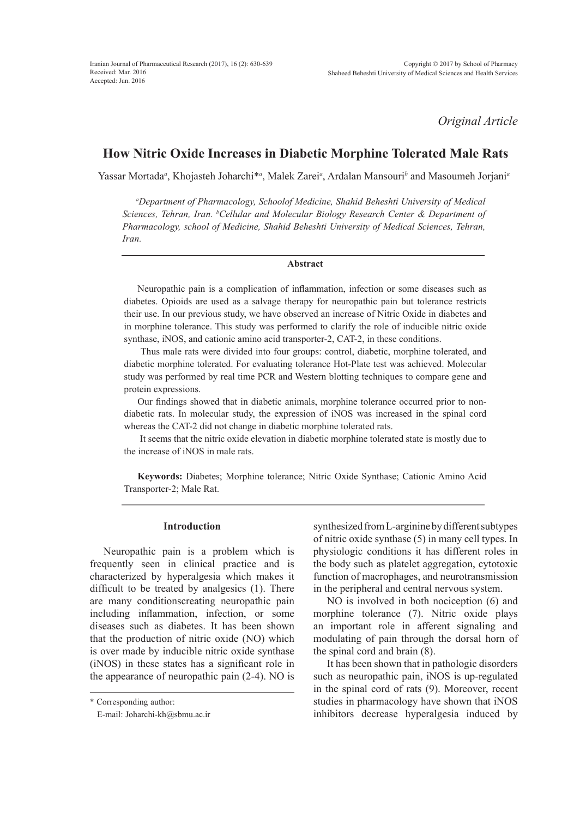*Original Article*

# **How Nitric Oxide Increases in Diabetic Morphine Tolerated Male Rats**

Yassar Mortada*<sup>a</sup>* , Khojasteh Joharchi\**<sup>a</sup>* , Malek Zarei*<sup>a</sup>* , Ardalan Mansouri*<sup>b</sup>* and Masoumeh Jorjani*<sup>a</sup>*

*a Department of Pharmacology, Schoolof Medicine, Shahid Beheshti University of Medical Sciences, Tehran, Iran. b Cellular and Molecular Biology Research Center & Department of Pharmacology, school of Medicine, Shahid Beheshti University of Medical Sciences, Tehran, Iran.*

#### **Abstract**

Neuropathic pain is a complication of inflammation, infection or some diseases such as diabetes. Opioids are used as a salvage therapy for neuropathic pain but tolerance restricts their use. In our previous study, we have observed an increase of Nitric Oxide in diabetes and in morphine tolerance. This study was performed to clarify the role of inducible nitric oxide synthase, iNOS, and cationic amino acid transporter-2, CAT-2, in these conditions.

 Thus male rats were divided into four groups: control, diabetic, morphine tolerated, and diabetic morphine tolerated. For evaluating tolerance Hot-Plate test was achieved. Molecular study was performed by real time PCR and Western blotting techniques to compare gene and protein expressions.

Our findings showed that in diabetic animals, morphine tolerance occurred prior to nondiabetic rats. In molecular study, the expression of iNOS was increased in the spinal cord whereas the CAT-2 did not change in diabetic morphine tolerated rats.

 It seems that the nitric oxide elevation in diabetic morphine tolerated state is mostly due to the increase of iNOS in male rats.

**Keywords:** Diabetes; Morphine tolerance; Nitric Oxide Synthase; Cationic Amino Acid Transporter-2; Male Rat.

## **Introduction**

Neuropathic pain is a problem which is frequently seen in clinical practice and is characterized by hyperalgesia which makes it difficult to be treated by analgesics (1). There are many conditionscreating neuropathic pain including inflammation, infection, or some diseases such as diabetes. It has been shown that the production of nitric oxide (NO) which is over made by inducible nitric oxide synthase (iNOS) in these states has a significant role in the appearance of neuropathic pain (2-4). NO is

synthesized from L-arginine by different subtypes of nitric oxide synthase (5) in many cell types. In physiologic conditions it has different roles in the body such as platelet aggregation, cytotoxic function of macrophages, and neurotransmission in the peripheral and central nervous system.

NO is involved in both nociception (6) and morphine tolerance (7). Nitric oxide plays an important role in afferent signaling and modulating of pain through the dorsal horn of the spinal cord and brain (8).

It has been shown that in pathologic disorders such as neuropathic pain, iNOS is up-regulated in the spinal cord of rats (9). Moreover, recent studies in pharmacology have shown that iNOS inhibitors decrease hyperalgesia induced by

<sup>\*</sup> Corresponding author:

E-mail: Joharchi-kh@sbmu.ac.ir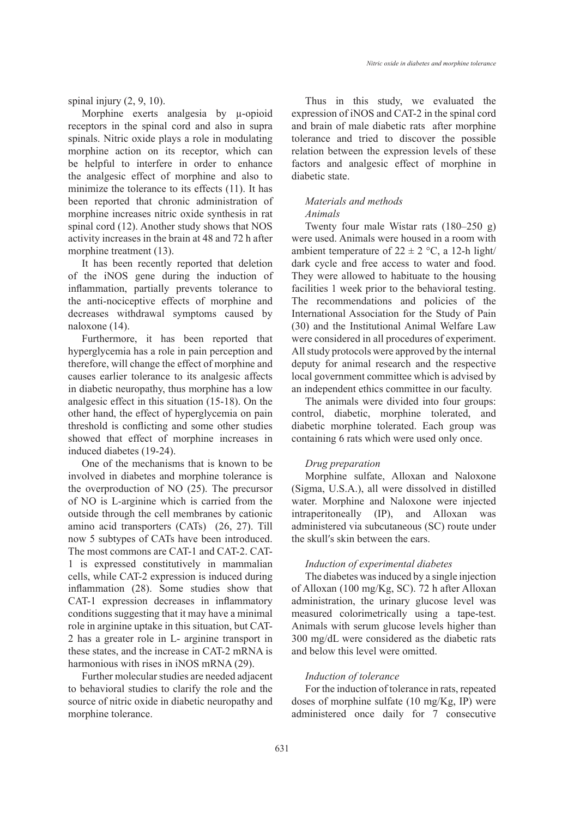spinal injury  $(2, 9, 10)$ .

Morphine exerts analgesia by  $\mu$ -opioid receptors in the spinal cord and also in supra spinals. Nitric oxide plays a role in modulating morphine action on its receptor, which can be helpful to interfere in order to enhance the analgesic effect of morphine and also to minimize the tolerance to its effects (11). It has been reported that chronic administration of morphine increases nitric oxide synthesis in rat spinal cord (12). Another study shows that NOS activity increases in the brain at 48 and 72 h after morphine treatment (13).

It has been recently reported that deletion of the iNOS gene during the induction of inflammation, partially prevents tolerance to the anti-nociceptive effects of morphine and decreases withdrawal symptoms caused by naloxone (14).

Furthermore, it has been reported that hyperglycemia has a role in pain perception and therefore, will change the effect of morphine and causes earlier tolerance to its analgesic affects in diabetic neuropathy, thus morphine has a low analgesic effect in this situation (15-18). On the other hand, the effect of hyperglycemia on pain threshold is conflicting and some other studies showed that effect of morphine increases in induced diabetes (19-24).

One of the mechanisms that is known to be involved in diabetes and morphine tolerance is the overproduction of NO (25). The precursor of NO is L-arginine which is carried from the outside through the cell membranes by cationic amino acid transporters (CATs) (26, 27). Till now 5 subtypes of CATs have been introduced. The most commons are CAT-1 and CAT-2. CAT-1 is expressed constitutively in mammalian cells, while CAT-2 expression is induced during inflammation (28). Some studies show that CAT-1 expression decreases in inflammatory conditions suggesting that it may have a minimal role in arginine uptake in this situation, but CAT-2 has a greater role in L- arginine transport in these states, and the increase in CAT-2 mRNA is harmonious with rises in iNOS mRNA (29).

Further molecular studies are needed adjacent to behavioral studies to clarify the role and the source of nitric oxide in diabetic neuropathy and morphine tolerance.

Thus in this study, we evaluated the expression of iNOS and CAT-2 in the spinal cord and brain of male diabetic rats after morphine tolerance and tried to discover the possible relation between the expression levels of these factors and analgesic effect of morphine in diabetic state.

#### *Materials and methods Animals*

Twenty four male Wistar rats (180–250 g) were used. Animals were housed in a room with ambient temperature of  $22 \pm 2$  °C, a 12-h light/ dark cycle and free access to water and food. They were allowed to habituate to the housing facilities 1 week prior to the behavioral testing. The recommendations and policies of the International Association for the Study of Pain (30) and the Institutional Animal Welfare Law were considered in all procedures of experiment. All study protocols were approved by the internal deputy for animal research and the respective local government committee which is advised by an independent ethics committee in our faculty.

The animals were divided into four groups: control, diabetic, morphine tolerated, and diabetic morphine tolerated. Each group was containing 6 rats which were used only once.

#### *Drug preparation*

Morphine sulfate, Alloxan and Naloxone (Sigma, U.S.A.), all were dissolved in distilled water. Morphine and Naloxone were injected intraperitoneally (IP), and Alloxan was administered via subcutaneous (SC) route under the skull′s skin between the ears.

## *Induction of experimental diabetes*

The diabetes was induced by a single injection of Alloxan (100 mg/Kg, SC). 72 h after Alloxan administration, the urinary glucose level was measured colorimetrically using a tape-test. Animals with serum glucose levels higher than 300 mg/dL were considered as the diabetic rats and below this level were omitted.

## *Induction of tolerance*

For the induction of tolerance in rats, repeated doses of morphine sulfate (10 mg/Kg, IP) were administered once daily for 7 consecutive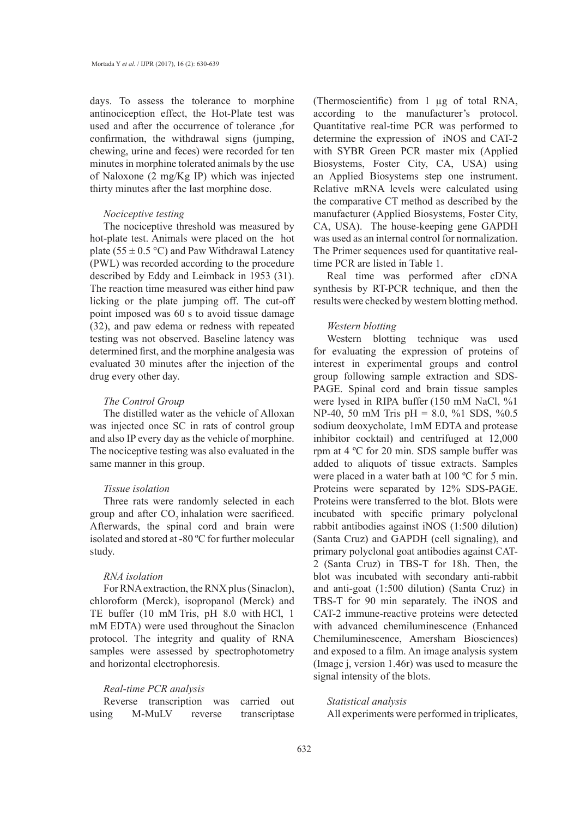days. To assess the tolerance to morphine antinociception effect, the Hot-Plate test was used and after the occurrence of tolerance ,for confirmation, the withdrawal signs (jumping, chewing, urine and feces) were recorded for ten minutes in morphine tolerated animals by the use of Naloxone (2 mg/Kg IP) which was injected thirty minutes after the last morphine dose.

#### *Nociceptive testing*

The nociceptive threshold was measured by hot-plate test. Animals were placed on the hot plate (55  $\pm$  0.5 °C) and Paw Withdrawal Latency (PWL) was recorded according to the procedure described by Eddy and Leimback in 1953 (31). The reaction time measured was either hind paw licking or the plate jumping off. The cut-off point imposed was 60 s to avoid tissue damage (32), and paw edema or redness with repeated testing was not observed. Baseline latency was determined first, and the morphine analgesia was evaluated 30 minutes after the injection of the drug every other day.

## *The Control Group*

The distilled water as the vehicle of Alloxan was injected once SC in rats of control group and also IP every day as the vehicle of morphine. The nociceptive testing was also evaluated in the same manner in this group.

## *Tissue isolation*

Three rats were randomly selected in each group and after CO<sub>2</sub> inhalation were sacrificed. Afterwards, the spinal cord and brain were isolated and stored at -80 ºC for further molecular study.

## *RNA isolation*

For RNA extraction, the RNX plus (Sinaclon), chloroform (Merck), isopropanol (Merck) and TE buffer (10 mM Tris, pH 8.0 with HCl, 1 mM EDTA) were used throughout the Sinaclon protocol. The integrity and quality of RNA samples were assessed by spectrophotometry and horizontal electrophoresis.

### *Real-time PCR analysis*

Reverse transcription was carried out using M-MuLV reverse transcriptase (Thermoscientific) from 1 µg of total RNA, according to the manufacturer's protocol. Quantitative real-time PCR was performed to determine the expression of iNOS and CAT-2 with SYBR Green PCR master mix (Applied Biosystems, Foster City, CA, USA) using an Applied Biosystems step one instrument. Relative mRNA levels were calculated using the comparative CT method as described by the manufacturer (Applied Biosystems, Foster City, CA, USA). The house-keeping gene GAPDH was used as an internal control for normalization. The Primer sequences used for quantitative realtime PCR are listed in Table 1.

Real time was performed after cDNA synthesis by RT-PCR technique, and then the results were checked by western blotting method.

## *Western blotting*

Western blotting technique was used for evaluating the expression of proteins of interest in experimental groups and control group following sample extraction and SDS-PAGE. Spinal cord and brain tissue samples were lysed in RIPA buffer (150 mM NaCl, %1 NP-40, 50 mM Tris pH = 8.0, %1 SDS, %0.5 sodium deoxycholate, 1mM EDTA and protease inhibitor cocktail) and centrifuged at 12,000 rpm at 4 ºC for 20 min. SDS sample buffer was added to aliquots of tissue extracts. Samples were placed in a water bath at 100 °C for 5 min. Proteins were separated by 12% SDS-PAGE. Proteins were transferred to the blot. Blots were incubated with specific primary polyclonal rabbit antibodies against iNOS (1:500 dilution) (Santa Cruz) and GAPDH (cell signaling), and primary polyclonal goat antibodies against CAT-2 (Santa Cruz) in TBS-T for 18h. Then, the blot was incubated with secondary anti-rabbit and anti-goat (1:500 dilution) (Santa Cruz) in TBS-T for 90 min separately. The iNOS and CAT-2 immune-reactive proteins were detected with advanced chemiluminescence (Enhanced Chemiluminescence, Amersham Biosciences) and exposed to a film. An image analysis system (Image j, version 1.46r) was used to measure the signal intensity of the blots.

## *Statistical analysis*

All experiments were performed in triplicates,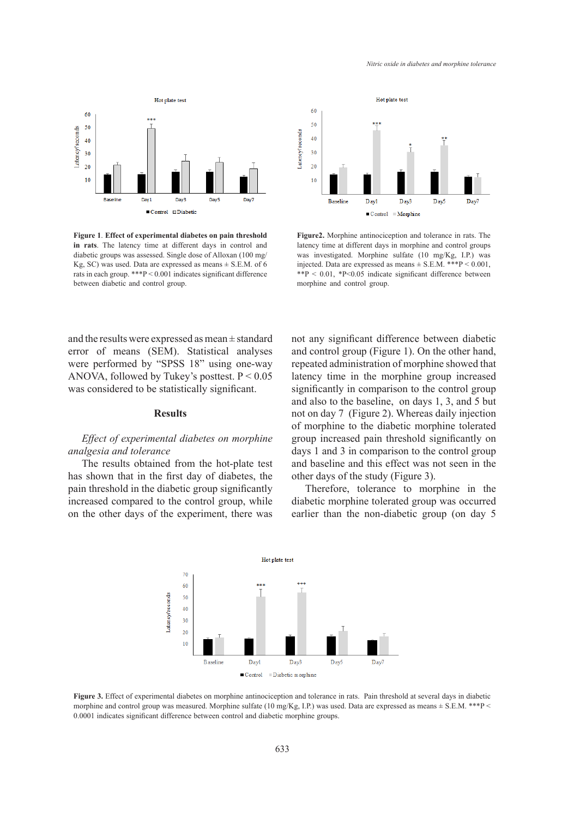

**Figure 1**. **Effect of experimental diabetes on pain threshold in rats**. The latency time at different days in control and diabetic groups was assessed. Single dose of Alloxan (100 mg/ Kg, SC) was used. Data are expressed as means  $\pm$  S.E.M. of 6 rats in each group. \*\*\*P < 0.001 indicates significant difference between diabetic and control group.

and the results were expressed as mean ± standard error of means (SEM). Statistical analyses were performed by "SPSS 18" using one-way ANOVA, followed by Tukey's posttest.  $P < 0.05$ was considered to be statistically significant.

#### **Results**

## Effect of experimental diabetes on morphine *analgesia and tolerance*

The results obtained from the hot-plate test has shown that in the first day of diabetes, the pain threshold in the diabetic group significantly increased compared to the control group, while on the other days of the experiment, there was



**Figure2.** Morphine antinociception and tolerance in rats. The latency time at different days in morphine and control groups was investigated. Morphine sulfate (10 mg/Kg, I.P.) was injected. Data are expressed as means ± S.E.M. \*\*\*P < 0.001, \*\*P < 0.01, \*P<0.05 indicate significant difference between morphine and control group.

not any significant difference between diabetic and control group (Figure 1). On the other hand, repeated administration of morphine showed that latency time in the morphine group increased significantly in comparison to the control group and also to the baseline, on days 1, 3, and 5 but not on day 7 (Figure 2). Whereas daily injection of morphine to the diabetic morphine tolerated group increased pain threshold significantly on days 1 and 3 in comparison to the control group and baseline and this effect was not seen in the other days of the study (Figure 3).

Therefore, tolerance to morphine in the diabetic morphine tolerated group was occurred earlier than the non-diabetic group (on day 5



**Figure 3.** Effect of experimental diabetes on morphine antinociception and tolerance in rats. Pain threshold at several days in diabetic morphine and control group was measured. Morphine sulfate (10 mg/Kg, I.P.) was used. Data are expressed as means  $\pm$  S.E.M. \*\*\*P < 0.0001 indicates significant difference between control and diabetic morphine groups.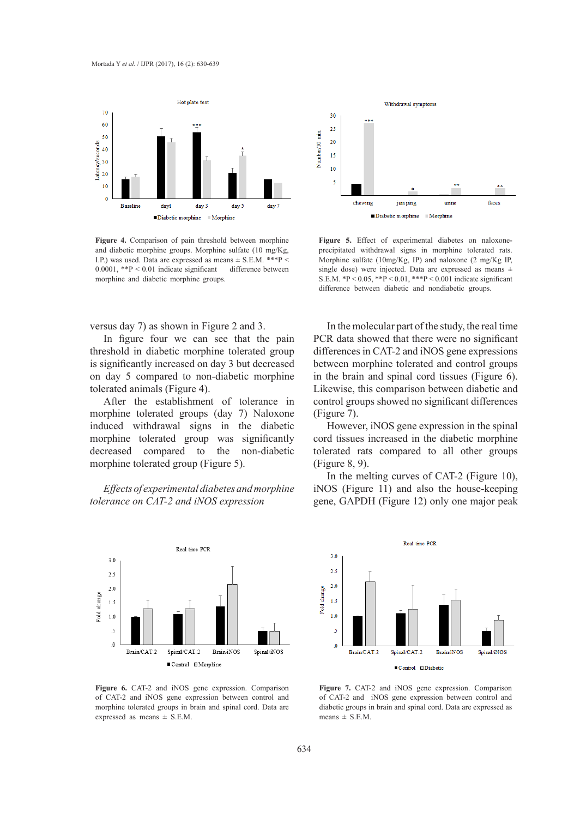

morphine and diabetic morphine groups. 0.0001, \*\*P < 0.01 indicate significant difference between **Figure 4.** Comparison of pain threshold between morphine and diabetic morphine groups. Morphine sulfate (10 mg/Kg, I.P.) was used. Data are expressed as means ± S.E.M. \*\*\*P <

versus day 7) as shown in Figure 2 and 3.

In figure four we can see that the pain threshold in diabetic morphine tolerated group is significantly increased on day 3 but decreased on day 5 compared to non-diabetic morphine tolerated animals (Figure 4).

After the establishment of tolerance in morphine tolerated groups (day 7) Naloxone induced withdrawal signs in the diabetic morphine tolerated group was significantly decreased compared to the non-diabetic morphine tolerated group (Figure 5).

*Effects of experimental diabetes and morphine tolerance on CAT-2 and iNOS expression* 



**Figure 6.** CAT-2 and iNOS gene expression. Comparison of CAT-2 and iNOS gene expression between control and morphine tolerated groups in brain and spinal cord. Data are expressed as means ± S.E.M.



Figure 5. Effect of experimental diabetes on naloxoneprecipitated withdrawal signs in morphine tolerated rats. Morphine sulfate (10mg/Kg, IP) and naloxone (2 mg/Kg IP, single dose) were injected. Data are expressed as means ± S.E.M.  ${}^{*}P$  < 0.05,  ${}^{*}P$  < 0.01,  ${}^{*}{}^{*}P$  < 0.001 indicate significant difference between diabetic and nondiabetic groups.

In the molecular part of the study, the real time PCR data showed that there were no significant differences in CAT-2 and iNOS gene expressions between morphine tolerated and control groups in the brain and spinal cord tissues (Figure 6). Likewise, this comparison between diabetic and control groups showed no significant differences (Figure 7).

However, iNOS gene expression in the spinal cord tissues increased in the diabetic morphine tolerated rats compared to all other groups (Figure 8, 9).

In the melting curves of CAT-2 (Figure 10), iNOS (Figure 11) and also the house-keeping gene, GAPDH (Figure 12) only one major peak



**Figure 7.** CAT-2 and iNOS gene expression. Comparison of CAT-2 and iNOS gene expression between control and diabetic groups in brain and spinal cord. Data are expressed as means  $\pm$  S.E.M.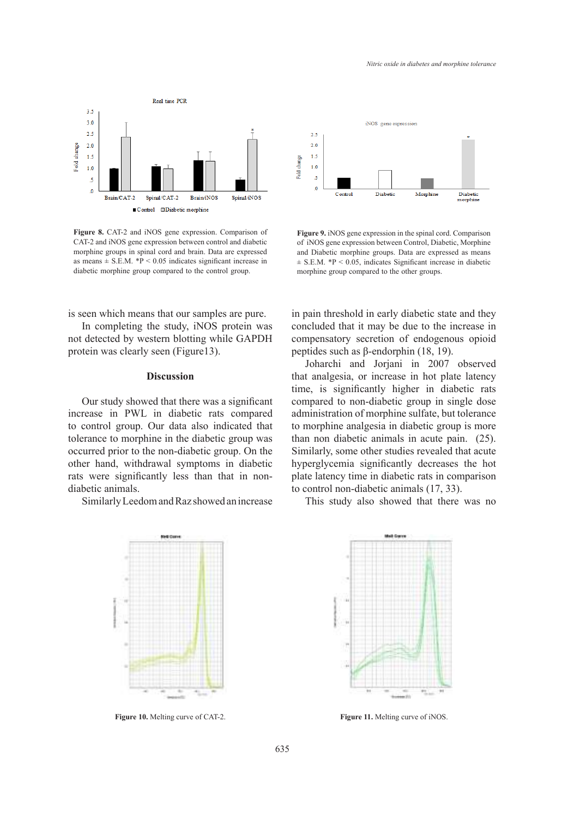

**Figure 8.** CAT-2 and iNOS gene expression. Comparison of CAT-2 and iNOS gene expression between control and diabetic morphine groups in spinal cord and brain. Data are expressed as means  $\pm$  S.E.M. \*P < 0.05 indicates significant increase in diabetic morphine group compared to the control group.

is seen which means that our samples are pure.

In completing the study, iNOS protein was not detected by western blotting while GAPDH protein was clearly seen (Figure13).

#### **Discussion**

Our study showed that there was a significant increase in PWL in diabetic rats compared to control group. Our data also indicated that tolerance to morphine in the diabetic group was occurred prior to the non-diabetic group. On the other hand, withdrawal symptoms in diabetic rats were significantly less than that in nondiabetic animals.

Similarly Leedom and Raz showed an increase





**Figure 9.** iNOS gene expression in the spinal cord. Comparison of iNOS gene expression between Control, Diabetic, Morphine and Diabetic morphine groups. Data are expressed as means  $\pm$  S.E.M. \*P < 0.05, indicates Significant increase in diabetic morphine group compared to the other groups.

in pain threshold in early diabetic state and they concluded that it may be due to the increase in compensatory secretion of endogenous opioid peptides such as β-endorphin (18, 19).

Joharchi and Jorjani in 2007 observed that analgesia, or increase in hot plate latency time, is significantly higher in diabetic rats compared to non-diabetic group in single dose administration of morphine sulfate, but tolerance to morphine analgesia in diabetic group is more than non diabetic animals in acute pain. (25). Similarly, some other studies revealed that acute hyperglycemia significantly decreases the hot plate latency time in diabetic rats in comparison to control non-diabetic animals (17, 33).

This study also showed that there was no



**Figure 10.** Melting curve of CAT-2. **Figure 11.** Melting curve of iNOS.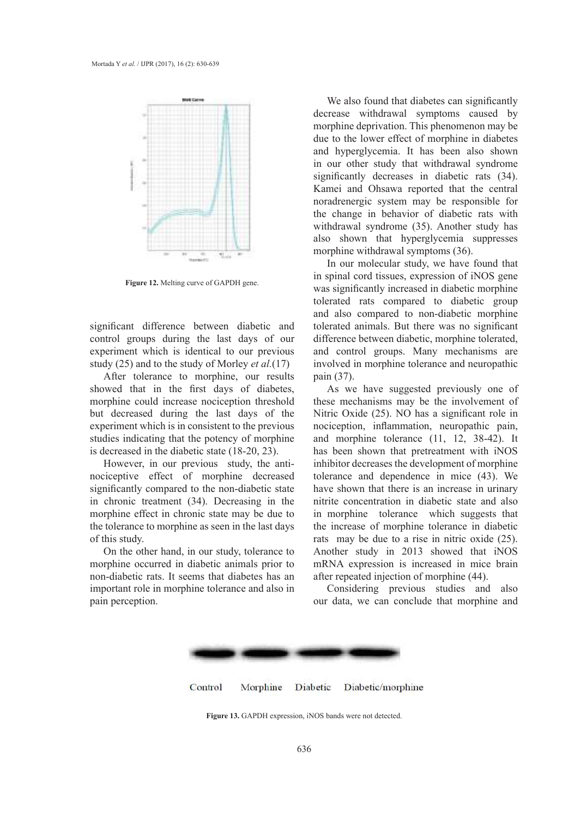

**Figure 12.** Melting curve of GAPDH gene.

significant difference between diabetic and control groups during the last days of our experiment which is identical to our previous study (25) and to the study of Morley *et al.*(17)

After tolerance to morphine, our results showed that in the first days of diabetes, morphine could increase nociception threshold but decreased during the last days of the experiment which is in consistent to the previous studies indicating that the potency of morphine is decreased in the diabetic state (18-20, 23).

the tolerance to morphine as seen in the last days However, in our previous study, the antinociceptive effect of morphine decreased significantly compared to the non-diabetic state in chronic treatment (34). Decreasing in the morphine effect in chronic state may be due to of this study.

Figure rats. It seems that diabetes has an after repeated injection of morphine (44).<br> **Frole in morphine tolerance and also in** Considering previous studies and also On the other hand, in our study, tolerance to morphine occurred in diabetic animals prior to non-diabetic rats. It seems that diabetes has an important role in morphine tolerance and also in pain perception.

We also found that diabetes can significantly decrease withdrawal symptoms caused by morphine deprivation. This phenomenon may be due to the lower effect of morphine in diabetes and hyperglycemia. It has been also shown in our other study that withdrawal syndrome significantly decreases in diabetic rats (34). Kamei and Ohsawa reported that the central noradrenergic system may be responsible for the change in behavior of diabetic rats with withdrawal syndrome (35). Another study has also shown that hyperglycemia suppresses morphine withdrawal symptoms (36).

In our molecular study, we have found that in spinal cord tissues, expression of iNOS gene was significantly increased in diabetic morphine tolerated rats compared to diabetic group and also compared to non-diabetic morphine tolerated animals. But there was no significant difference between diabetic, morphine tolerated, and control groups. Many mechanisms are involved in morphine tolerance and neuropathic pain (37).

As we have suggested previously one of these mechanisms may be the involvement of Nitric Oxide (25). NO has a significant role in nociception, inflammation, neuropathic pain, and morphine tolerance (11, 12, 38-42). It has been shown that pretreatment with iNOS inhibitor decreases the development of morphine tolerance and dependence in mice (43). We have shown that there is an increase in urinary nitrite concentration in diabetic state and also in morphine tolerance which suggests that the increase of morphine tolerance in diabetic rats may be due to a rise in nitric oxide (25). Another study in 2013 showed that iNOS mRNA expression is increased in mice brain after repeated injection of morphine (44).

and discounts we can conclude that morphine and expressed as means  $\frac{1}{\sqrt{1-\frac{1}{n}}}\cos\theta$  was used. Data are expressed as  $\frac{1}{\sqrt{1-\frac{1}{n}}}\cos\theta$ 



Figure 13. GAPDH expression, iNOS bands were not detected. **Figure 30.** One Die expression, and o banks were not detected.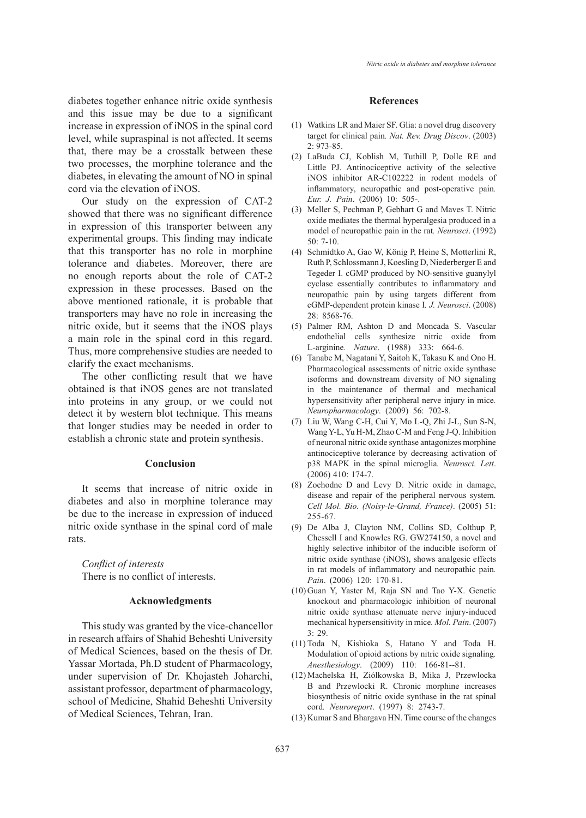diabetes together enhance nitric oxide synthesis and this issue may be due to a significant increase in expression of iNOS in the spinal cord level, while supraspinal is not affected. It seems that, there may be a crosstalk between these two processes, the morphine tolerance and the diabetes, in elevating the amount of NO in spinal cord via the elevation of iNOS.

Our study on the expression of CAT-2 showed that there was no significant difference in expression of this transporter between any experimental groups. This finding may indicate that this transporter has no role in morphine tolerance and diabetes. Moreover, there are no enough reports about the role of CAT-2 expression in these processes. Based on the above mentioned rationale, it is probable that transporters may have no role in increasing the nitric oxide, but it seems that the iNOS plays a main role in the spinal cord in this regard. Thus, more comprehensive studies are needed to clarify the exact mechanisms.

The other conflicting result that we have obtained is that iNOS genes are not translated into proteins in any group, or we could not detect it by western blot technique. This means that longer studies may be needed in order to establish a chronic state and protein synthesis.

## **Conclusion**

It seems that increase of nitric oxide in diabetes and also in morphine tolerance may be due to the increase in expression of induced nitric oxide synthase in the spinal cord of male rats.

*Conflict of interests* There is no conflict of interests.

#### **Acknowledgments**

This study was granted by the vice-chancellor in research affairs of Shahid Beheshti University of Medical Sciences, based on the thesis of Dr. Yassar Mortada, Ph.D student of Pharmacology, under supervision of Dr. Khojasteh Joharchi, assistant professor, department of pharmacology, school of Medicine, Shahid Beheshti University of Medical Sciences, Tehran, Iran.

#### **References**

- Watkins LR and Maier SF. Glia: a novel drug discovery (1) target for clinical pain*. Nat. Rev. Drug Discov*. (2003) 2: 973-85.
- LaBuda CJ, Koblish M, Tuthill P, Dolle RE and (2) Little PJ. Antinociceptive activity of the selective iNOS inhibitor AR-C102222 in rodent models of inflammatory, neuropathic and post-operative pain*. Eur. J. Pain*. (2006) 10: 505-.
- (3) Meller S, Pechman P, Gebhart G and Maves T. Nitric oxide mediates the thermal hyperalgesia produced in a model of neuropathic pain in the rat*. Neurosci*. (1992) 50: 7-10.
- (4) Schmidtko A, Gao W, König P, Heine S, Motterlini R, Ruth P, Schlossmann J, Koesling D, Niederberger E and Tegeder I. cGMP produced by NO-sensitive guanylyl cyclase essentially contributes to inflammatory and neuropathic pain by using targets different from cGMP-dependent protein kinase I*. J. Neurosci*. (2008) 28: 8568-76.
- Palmer RM, Ashton D and Moncada S. Vascular (5) endothelial cells synthesize nitric oxide from L-arginine*. Nature*. (1988) 333: 664-6.
- Tanabe M, Nagatani Y, Saitoh K, Takasu K and Ono H. (6) Pharmacological assessments of nitric oxide synthase isoforms and downstream diversity of NO signaling in the maintenance of thermal and mechanical hypersensitivity after peripheral nerve injury in mice*. Neuropharmacology*. (2009) 56: 702-8.
- Liu W, Wang C-H, Cui Y, Mo L-Q, Zhi J-L, Sun S-N, (7) Wang Y-L, Yu H-M, Zhao C-M and Feng J-Q. Inhibition of neuronal nitric oxide synthase antagonizes morphine antinociceptive tolerance by decreasing activation of p38 MAPK in the spinal microglia*. Neurosci. Lett*. (2006) 410: 174-7.
- Zochodne D and Levy D. Nitric oxide in damage, (8) disease and repair of the peripheral nervous system*. Cell Mol. Bio. (Noisy-le-Grand, France)*. (2005) 51: 255-67.
- De Alba J, Clayton NM, Collins SD, Colthup P, (9) Chessell I and Knowles RG. GW274150, a novel and highly selective inhibitor of the inducible isoform of nitric oxide synthase (iNOS), shows analgesic effects in rat models of inflammatory and neuropathic pain*. Pain*. (2006) 120: 170-81.
- (10) Guan Y, Yaster M, Raja SN and Tao Y-X. Genetic knockout and pharmacologic inhibition of neuronal nitric oxide synthase attenuate nerve injury-induced mechanical hypersensitivity in mice*. Mol. Pain*. (2007) 3: 29.
- $(11)$  Toda N, Kishioka S, Hatano Y and Toda H. Modulation of opioid actions by nitric oxide signaling*. Anesthesiology*. (2009) 110: 166-81--81.
- Machelska H, Ziólkowska B, Mika J, Przewlocka (12) B and Przewlocki R. Chronic morphine increases biosynthesis of nitric oxide synthase in the rat spinal cord*. Neuroreport*. (1997) 8: 2743-7.
- (13) Kumar S and Bhargava HN. Time course of the changes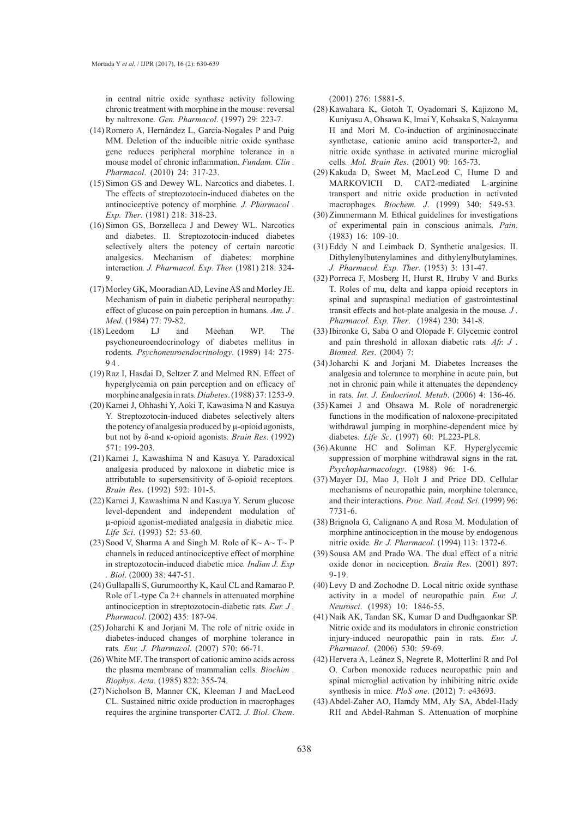in central nitric oxide synthase activity following chronic treatment with morphine in the mouse: reversal by naltrexone*. Gen. Pharmacol*. (1997) 29: 223-7.

- (14) Romero A, Hernández L, García-Nogales P and Puig MM. Deletion of the inducible nitric oxide synthase gene reduces peripheral morphine tolerance in a mouse model of chronic inflammation*. Fundam. Clin . Pharmacol*. (2010) 24: 317-23.
- (15) Simon GS and Dewey WL. Narcotics and diabetes. I. The effects of streptozotocin-induced diabetes on the antinociceptive potency of morphine*. J. Pharmacol . Exp. Ther*. (1981) 218: 318-23.
- $(16)$  Simon GS, Borzelleca J and Dewey WL. Narcotics and diabetes. II. Streptozotocin-induced diabetes selectively alters the potency of certain narcotic analgesics. Mechanism of diabetes: morphine interaction*. J. Pharmacol. Exp. Ther.* (1981) 218: 324- 9.
- Morley GK, Mooradian AD, Levine AS and Morley JE. (17) Mechanism of pain in diabetic peripheral neuropathy: effect of glucose on pain perception in humans*. Am. J . Med*. (1984) 77: 79-82.
- LJ and Meehan WP. The psychoneuroendocrinology of diabetes mellitus in rodents*. Psychoneuroendocrinology*. (1989) 14: 275- 94. (18) Leedom
- $(19)$  Raz I, Hasdai D, Seltzer Z and Melmed RN. Effect of hyperglycemia on pain perception and on efficacy of morphine analgesia in rats*.Diabetes*. (1988) 37: 1253-9.
- (20) Kamei J, Ohhashi Y, Aoki T, Kawasima N and Kasuya Y. Streptozotocin-induced diabetes selectively alters the potency of analgesia produced by μ-opioid agonists, but not by δ-and κ-opioid agonists*. Brain Res*. (1992) 571: 199-203.
- (21) Kamei J, Kawashima N and Kasuya Y. Paradoxical analgesia produced by naloxone in diabetic mice is attributable to supersensitivity of δ-opioid receptors*. Brain Res*. (1992) 592: 101-5.
- (22) Kamei J, Kawashima N and Kasuya Y. Serum glucose level-dependent and independent modulation of μ-opioid agonist-mediated analgesia in diabetic mice*. Life Sci*. (1993) 52: 53-60.
- (23) Sood V, Sharma A and Singh M. Role of  $K \sim A \sim T \sim P$ channels in reduced antinociceptive effect of morphine in streptozotocin-induced diabetic mice*. Indian J. Exp . Biol*. (2000) 38: 447-51.
- (24) Gullapalli S, Gurumoorthy K, Kaul CL and Ramarao P. Role of L-type Ca 2+ channels in attenuated morphine antinociception in streptozotocin-diabetic rats*. Eur. J . Pharmacol*. (2002) 435: 187-94.
- $(25)$  Joharchi K and Jorjani M. The role of nitric oxide in diabetes-induced changes of morphine tolerance in rats*. Eur. J. Pharmacol*. (2007) 570: 66-71.
- White MF. The transport of cationic amino acids across (26) the plasma membrane of mammalian cells*. Biochim . Biophys. Acta*. (1985) 822: 355-74.
- (27) Nicholson B, Manner CK, Kleeman J and MacLeod CL. Sustained nitric oxide production in macrophages requires the arginine transporter CAT2*. J. Biol. Chem*.

(2001) 276: 15881-5.

- (28) Kawahara K, Gotoh T, Oyadomari S, Kajizono M, Kuniyasu A, Ohsawa K, Imai Y, Kohsaka S, Nakayama H and Mori M. Co-induction of argininosuccinate synthetase, cationic amino acid transporter-2, and nitric oxide synthase in activated murine microglial cells*. Mol. Brain Res*. (2001) 90: 165-73.
- $(29)$  Kakuda D, Sweet M, MacLeod C, Hume D and MARKOVICH D. CAT2-mediated L-arginine transport and nitric oxide production in activated macrophages*. Biochem. J*. (1999) 340: 549-53.
- (30) Zimmermann M. Ethical guidelines for investigations of experimental pain in conscious animals*. Pain*. (1983) 16: 109-10.
- $(31)$  Eddy N and Leimback D. Synthetic analgesics. II. Dithylenylbutenylamines and dithylenylbutylamines*. J. Pharmacol. Exp. Ther*. (1953) 3: 131-47.
- $(32)$  Porreca F, Mosberg H, Hurst R, Hruby V and Burks T. Roles of mu, delta and kappa opioid receptors in spinal and supraspinal mediation of gastrointestinal transit effects and hot-plate analgesia in the mouse*. J . Pharmacol. Exp. Ther*. (1984) 230: 341-8.
- (33) Ibironke G, Saba O and Olopade F. Glycemic control and pain threshold in alloxan diabetic rats*. Afr. J . Biomed. Res*. (2004) 7:
- $(34)$  Joharchi K and Jorjani M. Diabetes Increases the analgesia and tolerance to morphine in acute pain, but not in chronic pain while it attenuates the dependency in rats*. Int. J. Endocrinol. Metab*. (2006) 4: 136-46.
- $(35)$  Kamei J and Ohsawa M. Role of noradrenergic functions in the modification of naloxone-precipitated withdrawal jumping in morphine-dependent mice by diabetes*. Life Sc*. (1997) 60: PL223-PL8.
- (36) Akunne HC and Soliman KF. Hyperglycemic suppression of morphine withdrawal signs in the rat*. Psychopharmacology*. (1988) 96: 1-6.
- Mayer DJ, Mao J, Holt J and Price DD. Cellular (37) mechanisms of neuropathic pain, morphine tolerance, and their interactions*. Proc. Natl. Acad. Sci*. (1999) 96: 7731-6.
- (38) Brignola G, Calignano A and Rosa M. Modulation of morphine antinociception in the mouse by endogenous nitric oxide*. Br. J. Pharmacol*. (1994) 113: 1372-6.
- (39) Sousa AM and Prado WA. The dual effect of a nitric oxide donor in nociception*. Brain Res*. (2001) 897: 9-19.
- Levy D and Zochodne D. Local nitric oxide synthase (40) activity in a model of neuropathic pain*. Eur. J. Neurosci*. (1998) 10: 1846-55.
- (41) Naik AK, Tandan SK, Kumar D and Dudhgaonkar SP. Nitric oxide and its modulators in chronic constriction injury-induced neuropathic pain in rats*. Eur. J. Pharmacol*. (2006) 530: 59-69.
- (42) Hervera A, Leánez S, Negrete R, Motterlini R and Pol O. Carbon monoxide reduces neuropathic pain and spinal microglial activation by inhibiting nitric oxide synthesis in mice*. PloS one*. (2012) 7: e43693.
- Abdel-Zaher AO, Hamdy MM, Aly SA, Abdel-Hady (43)RH and Abdel-Rahman S. Attenuation of morphine